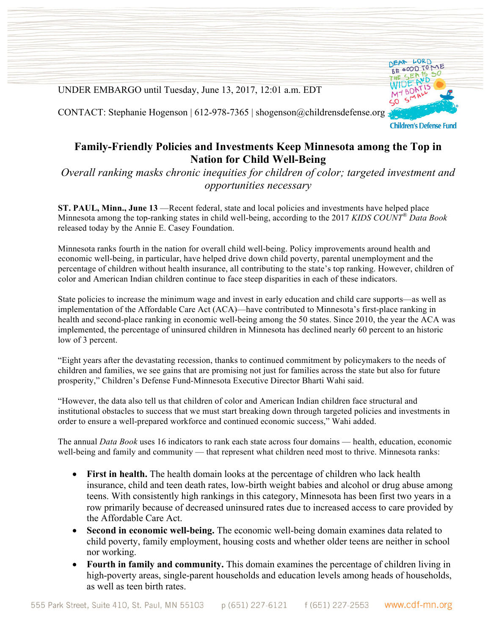UNDER EMBARGO until Tuesday, June 13, 2017, 12:01 a.m. EDT

DEAR LORD BE GOOD TO ME  $-44$ MTBOAT

CONTACT: Stephanie Hogenson | 612-978-7365 | shogenson@childrensdefense.org

## **Family-Friendly Policies and Investments Keep Minnesota among the Top in Nation for Child Well-Being**

*Overall ranking masks chronic inequities for children of color; targeted investment and opportunities necessary*

**ST. PAUL, Minn., June 13** —Recent federal, state and local policies and investments have helped place Minnesota among the top-ranking states in child well-being, according to the 2017 *KIDS COUNT® Data Book* released today by the Annie E. Casey Foundation.

Minnesota ranks fourth in the nation for overall child well-being. Policy improvements around health and economic well-being, in particular, have helped drive down child poverty, parental unemployment and the percentage of children without health insurance, all contributing to the state's top ranking. However, children of color and American Indian children continue to face steep disparities in each of these indicators.

State policies to increase the minimum wage and invest in early education and child care supports—as well as implementation of the Affordable Care Act (ACA)—have contributed to Minnesota's first-place ranking in health and second-place ranking in economic well-being among the 50 states. Since 2010, the year the ACA was implemented, the percentage of uninsured children in Minnesota has declined nearly 60 percent to an historic low of 3 percent.

"Eight years after the devastating recession, thanks to continued commitment by policymakers to the needs of children and families, we see gains that are promising not just for families across the state but also for future prosperity," Children's Defense Fund-Minnesota Executive Director Bharti Wahi said.

"However, the data also tell us that children of color and American Indian children face structural and institutional obstacles to success that we must start breaking down through targeted policies and investments in order to ensure a well-prepared workforce and continued economic success," Wahi added.

The annual *Data Book* uses 16 indicators to rank each state across four domains — health, education, economic well-being and family and community — that represent what children need most to thrive. Minnesota ranks:

- **First in health.** The health domain looks at the percentage of children who lack health insurance, child and teen death rates, low-birth weight babies and alcohol or drug abuse among teens. With consistently high rankings in this category, Minnesota has been first two years in a row primarily because of decreased uninsured rates due to increased access to care provided by the Affordable Care Act.
- **Second in economic well-being.** The economic well-being domain examines data related to child poverty, family employment, housing costs and whether older teens are neither in school nor working.
- **Fourth in family and community.** This domain examines the percentage of children living in high-poverty areas, single-parent households and education levels among heads of households, as well as teen birth rates.

**Children's Defense Fund**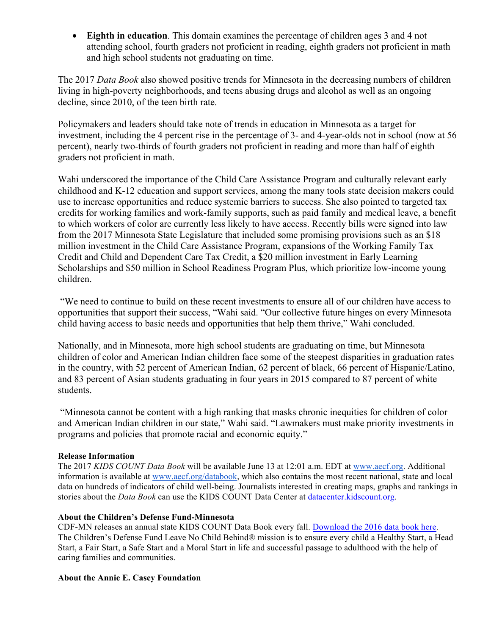• **Eighth in education**. This domain examines the percentage of children ages 3 and 4 not attending school, fourth graders not proficient in reading, eighth graders not proficient in math and high school students not graduating on time.

The 2017 *Data Book* also showed positive trends for Minnesota in the decreasing numbers of children living in high-poverty neighborhoods, and teens abusing drugs and alcohol as well as an ongoing decline, since 2010, of the teen birth rate.

Policymakers and leaders should take note of trends in education in Minnesota as a target for investment, including the 4 percent rise in the percentage of 3- and 4-year-olds not in school (now at 56 percent), nearly two-thirds of fourth graders not proficient in reading and more than half of eighth graders not proficient in math.

Wahi underscored the importance of the Child Care Assistance Program and culturally relevant early childhood and K-12 education and support services, among the many tools state decision makers could use to increase opportunities and reduce systemic barriers to success. She also pointed to targeted tax credits for working families and work-family supports, such as paid family and medical leave, a benefit to which workers of color are currently less likely to have access. Recently bills were signed into law from the 2017 Minnesota State Legislature that included some promising provisions such as an \$18 million investment in the Child Care Assistance Program, expansions of the Working Family Tax Credit and Child and Dependent Care Tax Credit, a \$20 million investment in Early Learning Scholarships and \$50 million in School Readiness Program Plus, which prioritize low-income young children.

"We need to continue to build on these recent investments to ensure all of our children have access to opportunities that support their success, "Wahi said. "Our collective future hinges on every Minnesota child having access to basic needs and opportunities that help them thrive," Wahi concluded.

Nationally, and in Minnesota, more high school students are graduating on time, but Minnesota children of color and American Indian children face some of the steepest disparities in graduation rates in the country, with 52 percent of American Indian, 62 percent of black, 66 percent of Hispanic/Latino, and 83 percent of Asian students graduating in four years in 2015 compared to 87 percent of white students.

"Minnesota cannot be content with a high ranking that masks chronic inequities for children of color and American Indian children in our state," Wahi said. "Lawmakers must make priority investments in programs and policies that promote racial and economic equity."

## **Release Information**

The 2017 *KIDS COUNT Data Book* will be available June 13 at 12:01 a.m. EDT at www.aecf.org. Additional information is available at www.aecf.org/databook, which also contains the most recent national, state and local data on hundreds of indicators of child well-being. Journalists interested in creating maps, graphs and rankings in stories about the *Data Book* can use the KIDS COUNT Data Center at datacenter.kidscount.org.

## **About the Children's Defense Fund-Minnesota**

CDF-MN releases an annual state KIDS COUNT Data Book every fall. Download the 2016 data book here. The Children's Defense Fund Leave No Child Behind® mission is to ensure every child a Healthy Start, a Head Start, a Fair Start, a Safe Start and a Moral Start in life and successful passage to adulthood with the help of caring families and communities.

## **About the Annie E. Casey Foundation**